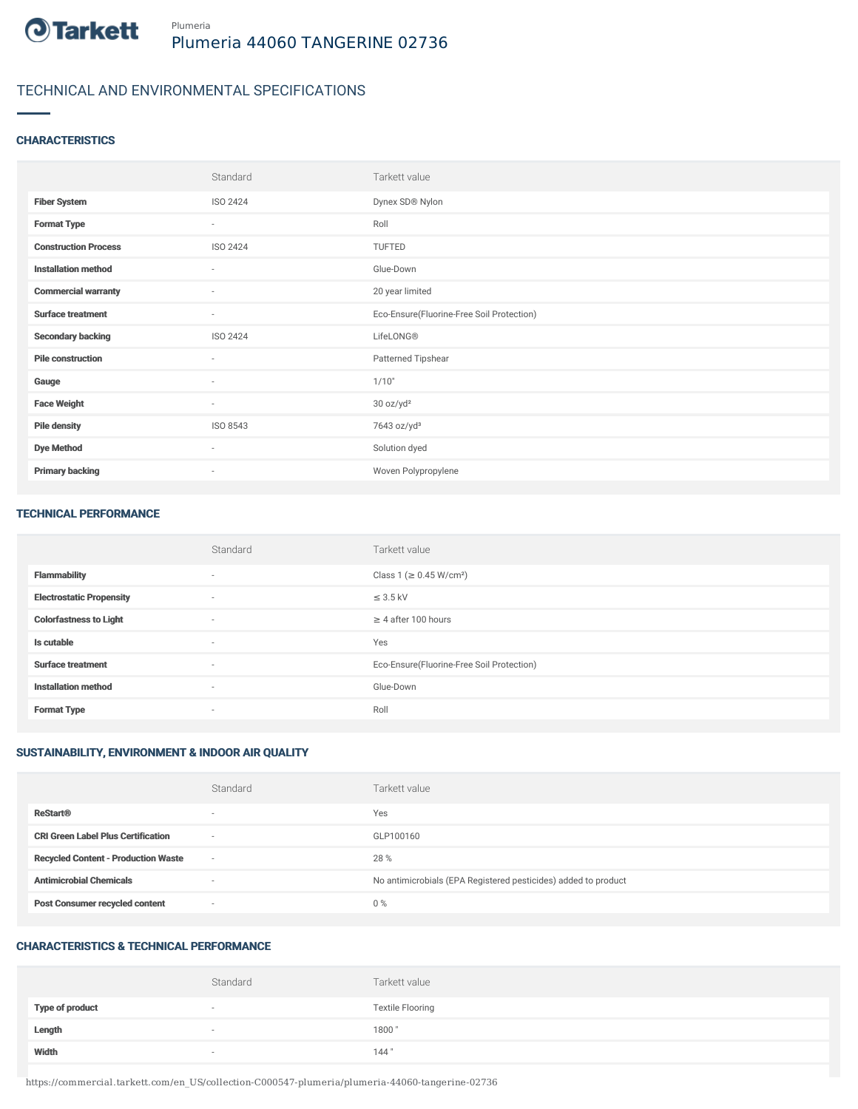

# TECHNICAL AND ENVIRONMENTAL SPECIFICATIONS

#### **CHARACTERISTICS**

|                             | Standard                 | Tarkett value                             |
|-----------------------------|--------------------------|-------------------------------------------|
| <b>Fiber System</b>         | ISO 2424                 | Dynex SD® Nylon                           |
| <b>Format Type</b>          | $\overline{\phantom{a}}$ | Roll                                      |
| <b>Construction Process</b> | ISO 2424                 | TUFTED                                    |
| <b>Installation method</b>  | $\sim$                   | Glue-Down                                 |
| <b>Commercial warranty</b>  | $\sim$                   | 20 year limited                           |
| <b>Surface treatment</b>    | ٠                        | Eco-Ensure(Fluorine-Free Soil Protection) |
| <b>Secondary backing</b>    | ISO 2424                 | LifeLONG®                                 |
| <b>Pile construction</b>    | ٠                        | Patterned Tipshear                        |
| Gauge                       | $\overline{\phantom{a}}$ | 1/10"                                     |
| <b>Face Weight</b>          | $\overline{\phantom{a}}$ | 30 oz/yd <sup>2</sup>                     |
| <b>Pile density</b>         | ISO 8543                 | 7643 oz/yd <sup>3</sup>                   |
| <b>Dye Method</b>           | $\overline{\phantom{a}}$ | Solution dyed                             |
| <b>Primary backing</b>      | ٠                        | Woven Polypropylene                       |

#### TECHNICAL PERFORMANCE

|                                 | Standard                 | Tarkett value                             |
|---------------------------------|--------------------------|-------------------------------------------|
| <b>Flammability</b>             | $\overline{\phantom{a}}$ | Class 1 (≥ 0.45 W/cm <sup>2</sup> )       |
| <b>Electrostatic Propensity</b> | $\sim$                   | $\leq$ 3.5 kV                             |
| <b>Colorfastness to Light</b>   | $\sim$                   | $\geq$ 4 after 100 hours                  |
| Is cutable                      | $\sim$                   | Yes                                       |
| <b>Surface treatment</b>        | $\sim$                   | Eco-Ensure(Fluorine-Free Soil Protection) |
| <b>Installation method</b>      | $\overline{\phantom{a}}$ | Glue-Down                                 |
| <b>Format Type</b>              | $\sim$                   | Roll                                      |

### SUSTAINABILITY, ENVIRONMENT & INDOOR AIR QUALITY

|                                            | Standard                 | Tarkett value                                                  |
|--------------------------------------------|--------------------------|----------------------------------------------------------------|
| <b>ReStart®</b>                            | $\overline{\phantom{a}}$ | Yes                                                            |
| <b>CRI Green Label Plus Certification</b>  | $\sim$                   | GLP100160                                                      |
| <b>Recycled Content - Production Waste</b> | $\sim$                   | 28 %                                                           |
| <b>Antimicrobial Chemicals</b>             | -                        | No antimicrobials (EPA Registered pesticides) added to product |
| <b>Post Consumer recycled content</b>      | $\sim$                   | $0\%$                                                          |

### CHARACTERISTICS & TECHNICAL PERFORMANCE

|                        | Standard                 | Tarkett value           |
|------------------------|--------------------------|-------------------------|
| <b>Type of product</b> | $\overline{\phantom{a}}$ | <b>Textile Flooring</b> |
| Length                 | $\overline{\phantom{a}}$ | 1800                    |
| Width                  | $\sim$                   | 144"                    |

https://commercial.tarkett.com/en\_US/collection-C000547-plumeria/plumeria-44060-tangerine-02736